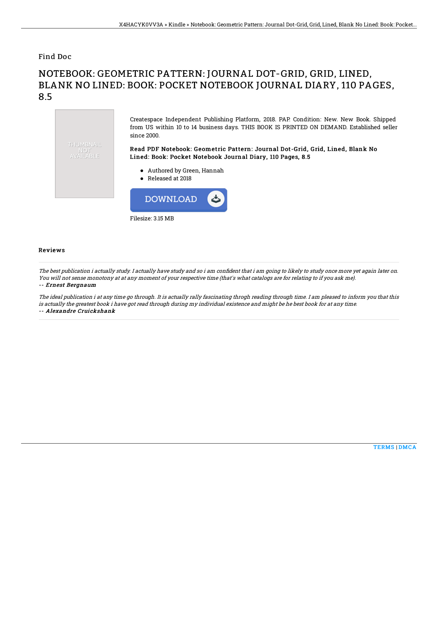### Find Doc

# NOTEBOOK: GEOMETRIC PATTERN: JOURNAL DOT-GRID, GRID, LINED, BLANK NO LINED: BOOK: POCKET NOTEBOOK JOURNAL DIARY, 110 PAGES, 8.5



Filesize: 3.15 MB

#### Reviews

The best publication i actually study. I actually have study and so i am confident that i am going to likely to study once more yet again later on. You will not sense monotony at at any moment of your respective time (that's what catalogs are for relating to if you ask me).

#### -- Ernest Bergnaum

The ideal publication i at any time go through. It is actually rally fascinating throgh reading through time. I am pleased to inform you that this is actually the greatest book i have got read through during my individual existence and might be he best book for at any time. -- Alexandre Cruickshank